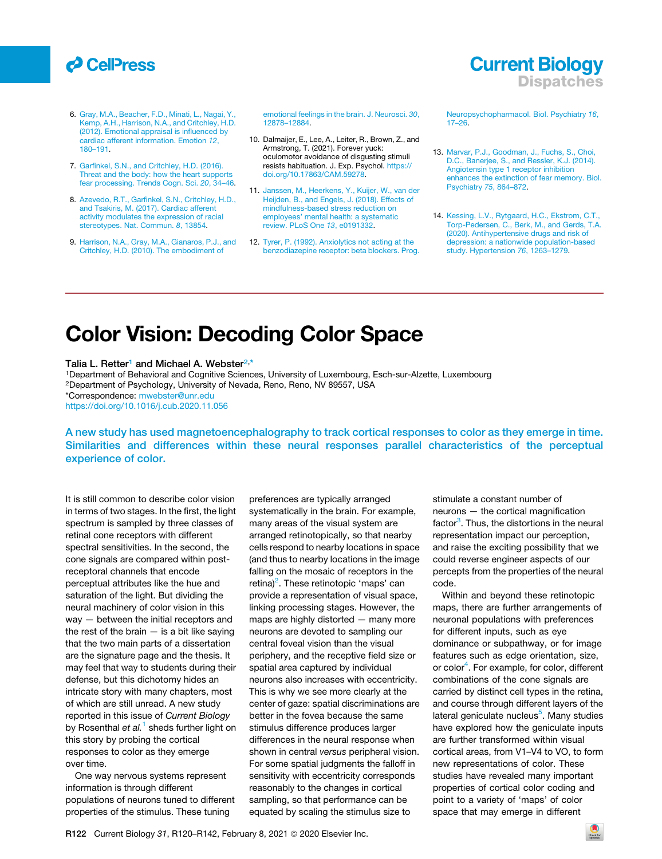## *d* CellPress

- 6. [Gray, M.A., Beacher, F.D., Minati, L., Nagai, Y.,](http://refhub.elsevier.com/S0960-9822(20)31770-X/sref6) [Kemp, A.H., Harrison, N.A., and Critchley, H.D.](http://refhub.elsevier.com/S0960-9822(20)31770-X/sref6) [\(2012\). Emotional appraisal is influenced by](http://refhub.elsevier.com/S0960-9822(20)31770-X/sref6) [cardiac afferent information. Emotion](http://refhub.elsevier.com/S0960-9822(20)31770-X/sref6) *12*, [180–191](http://refhub.elsevier.com/S0960-9822(20)31770-X/sref6).
- 7. [Garfinkel, S.N., and Critchley, H.D. \(2016\).](http://refhub.elsevier.com/S0960-9822(20)31770-X/sref7) [Threat and the body: how the heart supports](http://refhub.elsevier.com/S0960-9822(20)31770-X/sref7) [fear processing. Trends Cogn. Sci.](http://refhub.elsevier.com/S0960-9822(20)31770-X/sref7) *20*, 34–46.
- 8. [Azevedo, R.T., Garfinkel, S.N., Critchley, H.D.,](http://refhub.elsevier.com/S0960-9822(20)31770-X/sref8) [and Tsakiris, M. \(2017\). Cardiac afferent](http://refhub.elsevier.com/S0960-9822(20)31770-X/sref8) [activity modulates the expression of racial](http://refhub.elsevier.com/S0960-9822(20)31770-X/sref8) [stereotypes. Nat. Commun.](http://refhub.elsevier.com/S0960-9822(20)31770-X/sref8) *8*, 13854.
- 9. [Harrison, N.A., Gray, M.A., Gianaros, P.J., and](http://refhub.elsevier.com/S0960-9822(20)31770-X/sref9) [Critchley, H.D. \(2010\). The embodiment of](http://refhub.elsevier.com/S0960-9822(20)31770-X/sref9)

[emotional feelings in the brain. J. Neurosci.](http://refhub.elsevier.com/S0960-9822(20)31770-X/sref9) *30*, [12878–12884.](http://refhub.elsevier.com/S0960-9822(20)31770-X/sref9)

- 10. Dalmaijer, E., Lee, A., Leiter, R., Brown, Z., and Armstrong, T. (2021). Forever yuck: oculomotor avoidance of disgusting stimuli resists habituation. J. Exp. Psychol. [https://](https://doi.org/10.17863/CAM.59278) [doi.org/10.17863/CAM.59278.](https://doi.org/10.17863/CAM.59278)
- 11. [Janssen, M., Heerkens, Y., Kuijer, W., van der](http://refhub.elsevier.com/S0960-9822(20)31770-X/sref11) [Heijden, B., and Engels, J. \(2018\). Effects of](http://refhub.elsevier.com/S0960-9822(20)31770-X/sref11) [mindfulness-based stress reduction on](http://refhub.elsevier.com/S0960-9822(20)31770-X/sref11) [employees' mental health: a systematic](http://refhub.elsevier.com/S0960-9822(20)31770-X/sref11) [review. PLoS One](http://refhub.elsevier.com/S0960-9822(20)31770-X/sref11) *13*, e0191332.
- 12. [Tyrer, P. \(1992\). Anxiolytics not acting at the](http://refhub.elsevier.com/S0960-9822(20)31770-X/sref12) [benzodiazepine receptor: beta blockers. Prog.](http://refhub.elsevier.com/S0960-9822(20)31770-X/sref12)

[Neuropsychopharmacol. Biol. Psychiatry](http://refhub.elsevier.com/S0960-9822(20)31770-X/sref12) *16*, [17–26](http://refhub.elsevier.com/S0960-9822(20)31770-X/sref12).

**Current Biology** 

**Dispatches** 

- 13. [Marvar, P.J., Goodman, J., Fuchs, S., Choi,](http://refhub.elsevier.com/S0960-9822(20)31770-X/sref13) [D.C., Banerjee, S., and Ressler, K.J. \(2014\).](http://refhub.elsevier.com/S0960-9822(20)31770-X/sref13) [Angiotensin type 1 receptor inhibition](http://refhub.elsevier.com/S0960-9822(20)31770-X/sref13) [enhances the extinction of fear memory. Biol.](http://refhub.elsevier.com/S0960-9822(20)31770-X/sref13) [Psychiatry](http://refhub.elsevier.com/S0960-9822(20)31770-X/sref13) *75*, 864–872.
- 14. [Kessing, L.V., Rytgaard, H.C., Ekstrom, C.T.,](http://refhub.elsevier.com/S0960-9822(20)31770-X/sref14) [Torp-Pedersen, C., Berk, M., and Gerds, T.A.](http://refhub.elsevier.com/S0960-9822(20)31770-X/sref14) [\(2020\). Antihypertensive drugs and risk of](http://refhub.elsevier.com/S0960-9822(20)31770-X/sref14) [depression: a nationwide population-based](http://refhub.elsevier.com/S0960-9822(20)31770-X/sref14) [study. Hypertension](http://refhub.elsevier.com/S0960-9822(20)31770-X/sref14) *76*, 1263–1279.

# Color Vision: Decoding Color Space

#### Talia L. Retter<sup>[1](#page-0-0)</sup> and Michael A. Webster<sup>[2,](#page-0-1)[\\*](#page-0-2)</sup>

<span id="page-0-2"></span><span id="page-0-1"></span><span id="page-0-0"></span>1Department of Behavioral and Cognitive Sciences, University of Luxembourg, Esch-sur-Alzette, Luxembourg 2Department of Psychology, University of Nevada, Reno, Reno, NV 89557, USA \*Correspondence: [mwebster@unr.edu](mailto:mwebster@unr.edu) <https://doi.org/10.1016/j.cub.2020.11.056>

A new study has used magnetoencephalography to track cortical responses to color as they emerge in time. Similarities and differences within these neural responses parallel characteristics of the perceptual experience of color.

It is still common to describe color vision in terms of two stages. In the first, the light spectrum is sampled by three classes of retinal cone receptors with different spectral sensitivities. In the second, the cone signals are compared within postreceptoral channels that encode perceptual attributes like the hue and saturation of the light. But dividing the neural machinery of color vision in this way — between the initial receptors and the rest of the brain  $-$  is a bit like saying that the two main parts of a dissertation are the signature page and the thesis. It may feel that way to students during their defense, but this dichotomy hides an intricate story with many chapters, most of which are still unread. A new study reported in this issue of *Current Biology* by Rosenthal *et al.*[1](#page-2-0) sheds further light on this story by probing the cortical responses to color as they emerge over time.

One way nervous systems represent information is through different populations of neurons tuned to different properties of the stimulus. These tuning

preferences are typically arranged systematically in the brain. For example, many areas of the visual system are arranged retinotopically, so that nearby cells respond to nearby locations in space (and thus to nearby locations in the image falling on the mosaic of receptors in the retina)<sup>[2](#page-2-1)</sup>. These retinotopic 'maps' can provide a representation of visual space, linking processing stages. However, the maps are highly distorted — many more neurons are devoted to sampling our central foveal vision than the visual periphery, and the receptive field size or spatial area captured by individual neurons also increases with eccentricity. This is why we see more clearly at the center of gaze: spatial discriminations are better in the fovea because the same stimulus difference produces larger differences in the neural response when shown in central *versus* peripheral vision. For some spatial judgments the falloff in sensitivity with eccentricity corresponds reasonably to the changes in cortical sampling, so that performance can be equated by scaling the stimulus size to

stimulate a constant number of neurons — the cortical magnification factor<sup>[3](#page-2-2)</sup>. Thus, the distortions in the neural representation impact our perception, and raise the exciting possibility that we could reverse engineer aspects of our percepts from the properties of the neural code.

Within and beyond these retinotopic maps, there are further arrangements of neuronal populations with preferences for different inputs, such as eye dominance or subpathway, or for image features such as edge orientation, size, or color<sup>[4](#page-2-3)</sup>. For example, for color, different combinations of the cone signals are carried by distinct cell types in the retina, and course through different layers of the lateral geniculate nucleus<sup>[5](#page-2-4)</sup>. Many studies have explored how the geniculate inputs are further transformed within visual cortical areas, from V1–V4 to VO, to form new representations of color. These studies have revealed many important properties of cortical color coding and point to a variety of 'maps' of color space that may emerge in different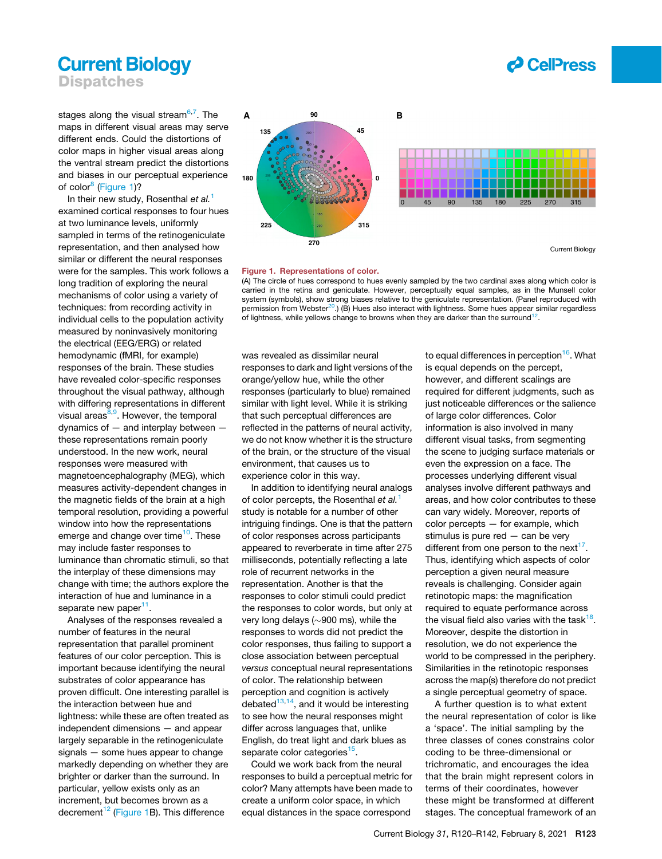## **Current Biology Dispatches**



<span id="page-1-0"></span>stages along the visual stream<sup>6,[7](#page-2-6)</sup>. The maps in different visual areas may serve different ends. Could the distortions of color maps in higher visual areas along the ventral stream predict the distortions and biases in our perceptual experience of color $<sup>8</sup>$  $<sup>8</sup>$  $<sup>8</sup>$  [\(Figure 1](#page-1-0))?</sup>

In their new study, Rosenthal *et al.*[1](#page-2-0) examined cortical responses to four hues at two luminance levels, uniformly sampled in terms of the retinogeniculate representation, and then analysed how similar or different the neural responses were for the samples. This work follows a long tradition of exploring the neural mechanisms of color using a variety of techniques: from recording activity in individual cells to the population activity measured by noninvasively monitoring the electrical (EEG/ERG) or related hemodynamic (fMRI, for example) responses of the brain. These studies have revealed color-specific responses throughout the visual pathway, although with differing representations in different visual areas<sup>[8](#page-2-7)[,9](#page-2-8)</sup>. However, the temporal dynamics of — and interplay between these representations remain poorly understood. In the new work, neural responses were measured with magnetoencephalography (MEG), which measures activity-dependent changes in the magnetic fields of the brain at a high temporal resolution, providing a powerful window into how the representations emerge and change over time<sup>[10](#page-2-9)</sup>. These may include faster responses to luminance than chromatic stimuli, so that the interplay of these dimensions may change with time; the authors explore the interaction of hue and luminance in a separate new paper<sup>11</sup>.

Analyses of the responses revealed a number of features in the neural representation that parallel prominent features of our color perception. This is important because identifying the neural substrates of color appearance has proven difficult. One interesting parallel is the interaction between hue and lightness: while these are often treated as independent dimensions — and appear largely separable in the retinogeniculate signals — some hues appear to change markedly depending on whether they are brighter or darker than the surround. In particular, yellow exists only as an increment, but becomes brown as a decrement<sup>[12](#page-2-11)</sup> [\(Figure 1](#page-1-0)B). This difference



Figure 1. Representations of color.

(A) The circle of hues correspond to hues evenly sampled by the two cardinal axes along which color is carried in the retina and geniculate. However, perceptually equal samples, as in the Munsell color system (symbols), show strong biases relative to the geniculate representation. (Panel reproduced with permission from Webster<sup>[20](#page-2-18)</sup>.) (B) Hues also interact with lightness. Some hues appear similar regardless of lightness, while yellows change to browns when they are darker than the surround<sup>[12](#page-2-11)</sup>.

was revealed as dissimilar neural responses to dark and light versions of the orange/yellow hue, while the other responses (particularly to blue) remained similar with light level. While it is striking that such perceptual differences are reflected in the patterns of neural activity, we do not know whether it is the structure of the brain, or the structure of the visual environment, that causes us to experience color in this way.

In addition to identifying neural analogs of color percepts, the Rosenthal *et al.*[1](#page-2-0) study is notable for a number of other intriguing findings. One is that the pattern of color responses across participants appeared to reverberate in time after 275 milliseconds, potentially reflecting a late role of recurrent networks in the representation. Another is that the responses to color stimuli could predict the responses to color words, but only at very long delays ( $\sim$ 900 ms), while the responses to words did not predict the color responses, thus failing to support a close association between perceptual *versus* conceptual neural representations of color. The relationship between perception and cognition is actively debated $13,14$  $13,14$ , and it would be interesting to see how the neural responses might differ across languages that, unlike English, do treat light and dark blues as separate color categories<sup>15</sup>.

Could we work back from the neural responses to build a perceptual metric for color? Many attempts have been made to create a uniform color space, in which equal distances in the space correspond

to equal differences in perception<sup>[16](#page-2-15)</sup>. What is equal depends on the percept, however, and different scalings are required for different judgments, such as just noticeable differences or the salience of large color differences. Color information is also involved in many different visual tasks, from segmenting the scene to judging surface materials or even the expression on a face. The processes underlying different visual analyses involve different pathways and areas, and how color contributes to these can vary widely. Moreover, reports of color percepts — for example, which stimulus is pure red — can be very different from one person to the next $17$ . Thus, identifying which aspects of color perception a given neural measure reveals is challenging. Consider again retinotopic maps: the magnification required to equate performance across the visual field also varies with the task<sup>18</sup>. Moreover, despite the distortion in resolution, we do not experience the world to be compressed in the periphery. Similarities in the retinotopic responses across the map(s) therefore do not predict a single perceptual geometry of space.

A further question is to what extent the neural representation of color is like a 'space'. The initial sampling by the three classes of cones constrains color coding to be three-dimensional or trichromatic, and encourages the idea that the brain might represent colors in terms of their coordinates, however these might be transformed at different stages. The conceptual framework of an